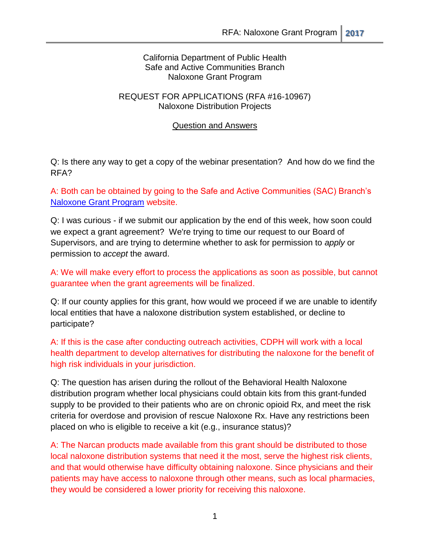#### California Department of Public Health Safe and Active Communities Branch Naloxone Grant Program

#### REQUEST FOR APPLICATIONS (RFA #16-10967) Naloxone Distribution Projects

#### Question and Answers

Q: Is there any way to get a copy of the webinar presentation? And how do we find the RFA?

A: Both can be obtained by going to the Safe and Active Communities (SAC) Branch's [Naloxone Grant Program](http://www.cdph.ca.gov/programs/SACB/Pages/NaloxoneGrantProgram.aspx) website[.](http://www.cdph.ca.gov/programs/SACB/Pages/NaloxoneGrantProgram.aspx)

Q: I was curious - if we submit our application by the end of this week, how soon could we expect a grant agreement? We're trying to time our request to our Board of Supervisors, and are trying to determine whether to ask for permission to *apply* or permission to *accept* the award.

A: We will make every effort to process the applications as soon as possible, but cannot guarantee when the grant agreements will be finalized.

Q: If our county applies for this grant, how would we proceed if we are unable to identify local entities that have a naloxone distribution system established, or decline to participate?

A: If this is the case after conducting outreach activities, CDPH will work with a local health department to develop alternatives for distributing the naloxone for the benefit of high risk individuals in your jurisdiction.

Q: The question has arisen during the rollout of the Behavioral Health Naloxone distribution program whether local physicians could obtain kits from this grant-funded supply to be provided to their patients who are on chronic opioid Rx, and meet the risk criteria for overdose and provision of rescue Naloxone Rx. Have any restrictions been placed on who is eligible to receive a kit (e.g., insurance status)?

A: The Narcan products made available from this grant should be distributed to those local naloxone distribution systems that need it the most, serve the highest risk clients, and that would otherwise have difficulty obtaining naloxone. Since physicians and their patients may have access to naloxone through other means, such as local pharmacies, they would be considered a lower priority for receiving this naloxone.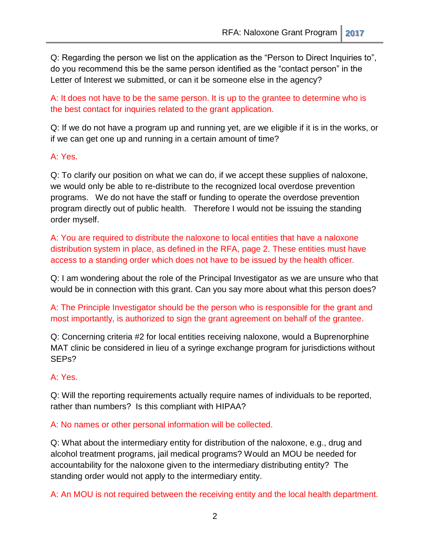Q: Regarding the person we list on the application as the "Person to Direct Inquiries to", do you recommend this be the same person identified as the "contact person" in the Letter of Interest we submitted, or can it be someone else in the agency?

A: It does not have to be the same person. It is up to the grantee to determine who is the best contact for inquiries related to the grant application.

Q: If we do not have a program up and running yet, are we eligible if it is in the works, or if we can get one up and running in a certain amount of time?

#### A: Yes.

Q: To clarify our position on what we can do, if we accept these supplies of naloxone, we would only be able to re-distribute to the recognized local overdose prevention programs. We do not have the staff or funding to operate the overdose prevention program directly out of public health. Therefore I would not be issuing the standing order myself.

A: You are required to distribute the naloxone to local entities that have a naloxone distribution system in place, as defined in the RFA, page 2. These entities must have access to a standing order which does not have to be issued by the health officer.

Q: I am wondering about the role of the Principal Investigator as we are unsure who that would be in connection with this grant. Can you say more about what this person does?

A: The Principle Investigator should be the person who is responsible for the grant and most importantly, is authorized to sign the grant agreement on behalf of the grantee.

Q: Concerning criteria #2 for local entities receiving naloxone, would a Buprenorphine MAT clinic be considered in lieu of a syringe exchange program for jurisdictions without SEPs?

### A: Yes.

Q: Will the reporting requirements actually require names of individuals to be reported, rather than numbers? Is this compliant with HIPAA?

A: No names or other personal information will be collected.

Q: What about the intermediary entity for distribution of the naloxone, e.g., drug and alcohol treatment programs, jail medical programs? Would an MOU be needed for accountability for the naloxone given to the intermediary distributing entity? The standing order would not apply to the intermediary entity.

A: An MOU is not required between the receiving entity and the local health department.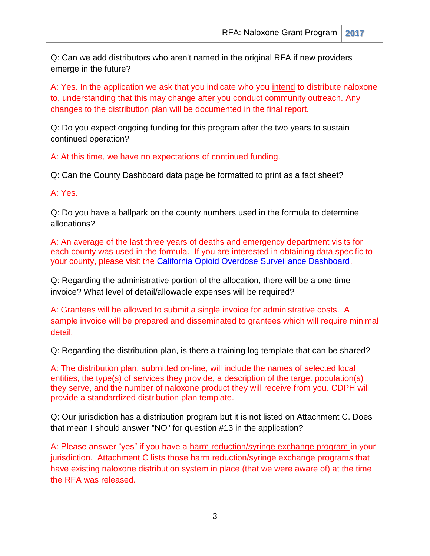Q: Can we add distributors who aren't named in the original RFA if new providers emerge in the future?

A: Yes. In the application we ask that you indicate who you intend to distribute naloxone to, understanding that this may change after you conduct community outreach. Any changes to the distribution plan will be documented in the final report.

Q: Do you expect ongoing funding for this program after the two years to sustain continued operation?

A: At this time, we have no expectations of continued funding.

Q: Can the County Dashboard data page be formatted to print as a fact sheet?

A: Yes.

Q: Do you have a ballpark on the county numbers used in the formula to determine allocations?

A: An average of the last three years of deaths and emergency department visits for each county was used in the formula. If you are interested in obtaining data specific to your county, please visit the [California Opioid Overdose Surveillance Dashboard.](https://pdop.shinyapps.io/ODdash_v1/)

Q: Regarding the administrative portion of the allocation, there will be a one-time invoice? What level of detail/allowable expenses will be required?

A: Grantees will be allowed to submit a single invoice for administrative costs. A sample invoice will be prepared and disseminated to grantees which will require minimal detail.

Q: Regarding the distribution plan, is there a training log template that can be shared?

A: The distribution plan, submitted on-line, will include the names of selected local entities, the type(s) of services they provide, a description of the target population(s) they serve, and the number of naloxone product they will receive from you. CDPH will provide a standardized distribution plan template.

Q: Our jurisdiction has a distribution program but it is not listed on Attachment C. Does that mean I should answer "NO" for question #13 in the application?

A: Please answer "yes" if you have a harm reduction/syringe exchange program in your jurisdiction. Attachment C lists those harm reduction/syringe exchange programs that have existing naloxone distribution system in place (that we were aware of) at the time the RFA was released.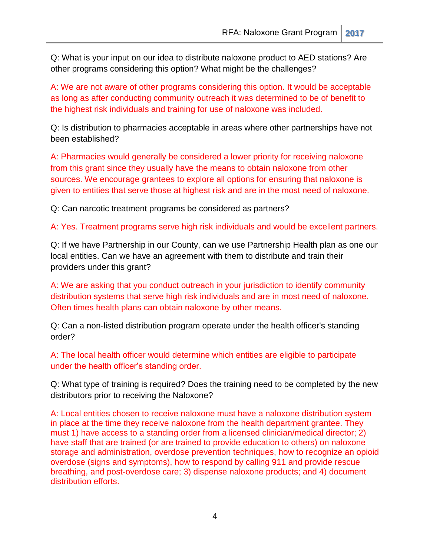Q: What is your input on our idea to distribute naloxone product to AED stations? Are other programs considering this option? What might be the challenges?

A: We are not aware of other programs considering this option. It would be acceptable as long as after conducting community outreach it was determined to be of benefit to the highest risk individuals and training for use of naloxone was included.

Q: Is distribution to pharmacies acceptable in areas where other partnerships have not been established?

A: Pharmacies would generally be considered a lower priority for receiving naloxone from this grant since they usually have the means to obtain naloxone from other sources. We encourage grantees to explore all options for ensuring that naloxone is given to entities that serve those at highest risk and are in the most need of naloxone.

Q: Can narcotic treatment programs be considered as partners?

A: Yes. Treatment programs serve high risk individuals and would be excellent partners.

Q: If we have Partnership in our County, can we use Partnership Health plan as one our local entities. Can we have an agreement with them to distribute and train their providers under this grant?

A: We are asking that you conduct outreach in your jurisdiction to identify community distribution systems that serve high risk individuals and are in most need of naloxone. Often times health plans can obtain naloxone by other means.

Q: Can a non-listed distribution program operate under the health officer's standing order?

A: The local health officer would determine which entities are eligible to participate under the health officer's standing order.

Q: What type of training is required? Does the training need to be completed by the new distributors prior to receiving the Naloxone?

A: Local entities chosen to receive naloxone must have a naloxone distribution system in place at the time they receive naloxone from the health department grantee. They must 1) have access to a standing order from a licensed clinician/medical director; 2) have staff that are trained (or are trained to provide education to others) on naloxone storage and administration, overdose prevention techniques, how to recognize an opioid overdose (signs and symptoms), how to respond by calling 911 and provide rescue breathing, and post-overdose care; 3) dispense naloxone products; and 4) document distribution efforts.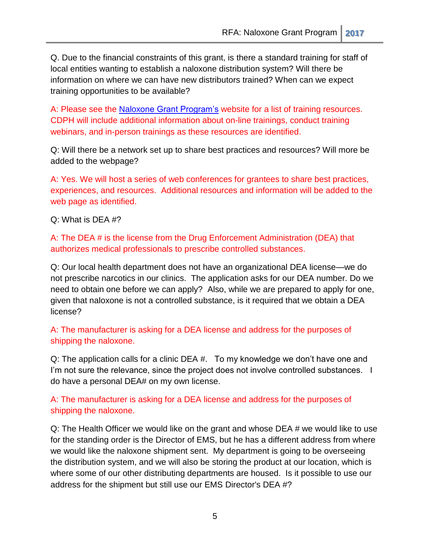Q. Due to the financial constraints of this grant, is there a standard training for staff of local entities wanting to establish a naloxone distribution system? Will there be information on where we can have new distributors trained? When can we expect training opportunities to be available?

A: Please see the [Naloxone Grant Program's](http://www.cdph.ca.gov/programs/SACB/Pages/NaloxoneGrantProgram.aspx) website for a list of training resources. CDPH will include additional information about on-line trainings, conduct training webinars, and in-person trainings as these resources are identified.

Q: Will there be a network set up to share best practices and resources? Will more be added to the webpage?

A: Yes. We will host a series of web conferences for grantees to share best practices, experiences, and resources. Additional resources and information will be added to the web page as identified.

Q: What is DEA #?

A: The DEA # is the license from the Drug Enforcement Administration (DEA) that authorizes medical professionals to prescribe controlled substances.

Q: Our local health department does not have an organizational DEA license—we do not prescribe narcotics in our clinics. The application asks for our DEA number. Do we need to obtain one before we can apply? Also, while we are prepared to apply for one, given that naloxone is not a controlled substance, is it required that we obtain a DEA license?

## A: The manufacturer is asking for a DEA license and address for the purposes of shipping the naloxone.

Q: The application calls for a clinic DEA #. To my knowledge we don't have one and I'm not sure the relevance, since the project does not involve controlled substances. I do have a personal DEA# on my own license.

# A: The manufacturer is asking for a DEA license and address for the purposes of shipping the naloxone.

Q: The Health Officer we would like on the grant and whose DEA # we would like to use for the standing order is the Director of EMS, but he has a different address from where we would like the naloxone shipment sent. My department is going to be overseeing the distribution system, and we will also be storing the product at our location, which is where some of our other distributing departments are housed. Is it possible to use our address for the shipment but still use our EMS Director's DEA #?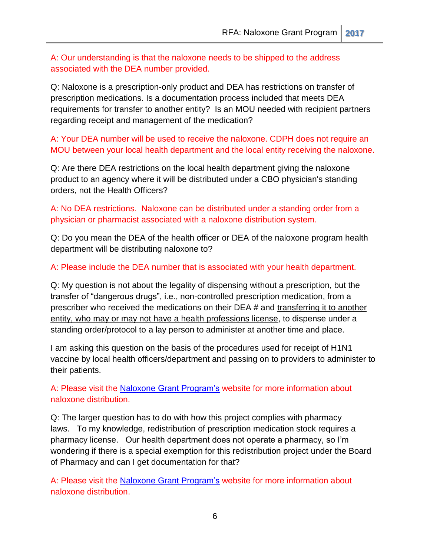A: Our understanding is that the naloxone needs to be shipped to the address associated with the DEA number provided.

Q: Naloxone is a prescription-only product and DEA has restrictions on transfer of prescription medications. Is a documentation process included that meets DEA requirements for transfer to another entity? Is an MOU needed with recipient partners regarding receipt and management of the medication?

A: Your DEA number will be used to receive the naloxone. CDPH does not require an MOU between your local health department and the local entity receiving the naloxone.

Q: Are there DEA restrictions on the local health department giving the naloxone product to an agency where it will be distributed under a CBO physician's standing orders, not the Health Officers?

A: No DEA restrictions. Naloxone can be distributed under a standing order from a physician or pharmacist associated with a naloxone distribution system.

Q: Do you mean the DEA of the health officer or DEA of the naloxone program health department will be distributing naloxone to?

A: Please include the DEA number that is associated with your health department.

Q: My question is not about the legality of dispensing without a prescription, but the transfer of "dangerous drugs", i.e., non-controlled prescription medication, from a prescriber who received the medications on their DEA # and transferring it to another entity, who may or may not have a health professions license, to dispense under a standing order/protocol to a lay person to administer at another time and place.

I am asking this question on the basis of the procedures used for receipt of H1N1 vaccine by local health officers/department and passing on to providers to administer to their patients.

A: Please visit the Naloxone [Grant Program's](http://www.cdph.ca.gov/programs/SACB/Pages/NaloxoneGrantProgram.aspx) website for more information about naloxone distribution.

Q: The larger question has to do with how this project complies with pharmacy laws. To my knowledge, redistribution of prescription medication stock requires a pharmacy license. Our health department does not operate a pharmacy, so I'm wondering if there is a special exemption for this redistribution project under the Board of Pharmacy and can I get documentation for that?

A: Please visit the Naloxone [Grant Program's](http://www.cdph.ca.gov/programs/SACB/Pages/NaloxoneGrantProgram.aspx) website for more information about naloxone distribution.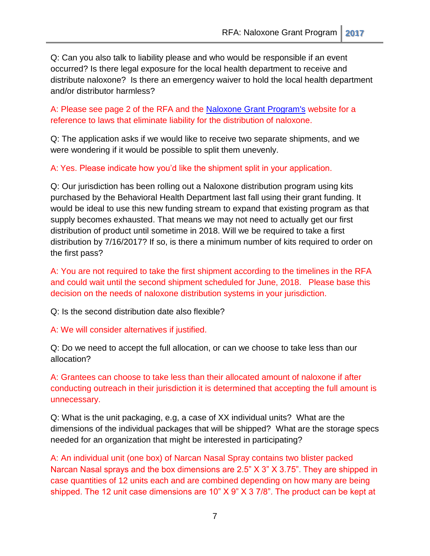Q: Can you also talk to liability please and who would be responsible if an event occurred? Is there legal exposure for the local health department to receive and distribute naloxone? Is there an emergency waiver to hold the local health department and/or distributor harmless?

A: Please see page 2 of the RFA and the [Naloxone Grant Program's](http://www.cdph.ca.gov/programs/SACB/Pages/NaloxoneGrantProgram.aspx) website for a reference to laws that eliminate liability for the distribution of naloxone.

Q: The application asks if we would like to receive two separate shipments, and we were wondering if it would be possible to split them unevenly.

A: Yes. Please indicate how you'd like the shipment split in your application.

Q: Our jurisdiction has been rolling out a Naloxone distribution program using kits purchased by the Behavioral Health Department last fall using their grant funding. It would be ideal to use this new funding stream to expand that existing program as that supply becomes exhausted. That means we may not need to actually get our first distribution of product until sometime in 2018. Will we be required to take a first distribution by 7/16/2017? If so, is there a minimum number of kits required to order on the first pass?

A: You are not required to take the first shipment according to the timelines in the RFA and could wait until the second shipment scheduled for June, 2018. Please base this decision on the needs of naloxone distribution systems in your jurisdiction.

Q: Is the second distribution date also flexible?

A: We will consider alternatives if justified.

Q: Do we need to accept the full allocation, or can we choose to take less than our allocation?

A: Grantees can choose to take less than their allocated amount of naloxone if after conducting outreach in their jurisdiction it is determined that accepting the full amount is unnecessary.

Q: What is the unit packaging, e.g, a case of XX individual units? What are the dimensions of the individual packages that will be shipped? What are the storage specs needed for an organization that might be interested in participating?

A: An individual unit (one box) of Narcan Nasal Spray contains two blister packed Narcan Nasal sprays and the box dimensions are 2.5" X 3" X 3.75". They are shipped in case quantities of 12 units each and are combined depending on how many are being shipped. The 12 unit case dimensions are 10" X 9" X 3 7/8". The product can be kept at